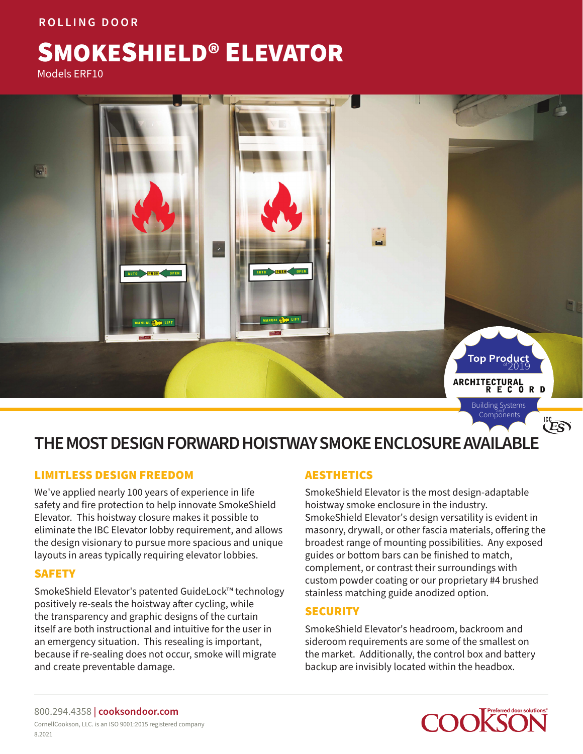## **ROLLING DOOR**

# SMOKESHIELD® ELEVATOR

Models ERF10



## **THE MOST DESIGN FORWARD HOISTWAY SMOKE ENCLOSURE AVAILABLE**

## LIMITLESS DESIGN FREEDOM

We've applied nearly 100 years of experience in life safety and fire protection to help innovate SmokeShield Elevator. This hoistway closure makes it possible to eliminate the IBC Elevator lobby requirement, and allows the design visionary to pursue more spacious and unique layouts in areas typically requiring elevator lobbies.

## SAFETY

SmokeShield Elevator's patented GuideLock™ technology positively re-seals the hoistway after cycling, while the transparency and graphic designs of the curtain itself are both instructional and intuitive for the user in an emergency situation. This resealing is important, because if re-sealing does not occur, smoke will migrate and create preventable damage.

## AESTHETICS

SmokeShield Elevator is the most design-adaptable hoistway smoke enclosure in the industry. SmokeShield Elevator's design versatility is evident in masonry, drywall, or other fascia materials, offering the broadest range of mounting possibilities. Any exposed guides or bottom bars can be finished to match, complement, or contrast their surroundings with custom powder coating or our proprietary #4 brushed stainless matching guide anodized option.

## **SECURITY**

SmokeShield Elevator's headroom, backroom and sideroom requirements are some of the smallest on the market. Additionally, the control box and battery backup are invisibly located within the headbox.